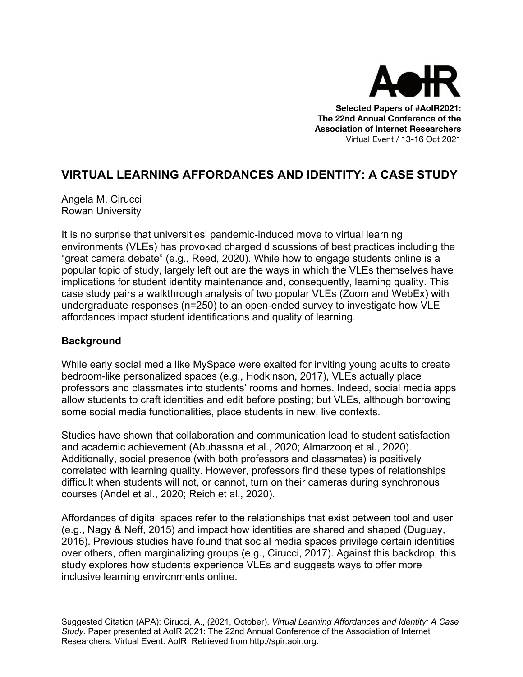

**Selected Papers of #AoIR2021: The 22nd Annual Conference of the Association of Internet Researchers** Virtual Event / 13-16 Oct 2021

# **VIRTUAL LEARNING AFFORDANCES AND IDENTITY: A CASE STUDY**

Angela M. Cirucci Rowan University

It is no surprise that universities' pandemic-induced move to virtual learning environments (VLEs) has provoked charged discussions of best practices including the "great camera debate" (e.g., Reed, 2020). While how to engage students online is a popular topic of study, largely left out are the ways in which the VLEs themselves have implications for student identity maintenance and, consequently, learning quality. This case study pairs a walkthrough analysis of two popular VLEs (Zoom and WebEx) with undergraduate responses (n=250) to an open-ended survey to investigate how VLE affordances impact student identifications and quality of learning.

# **Background**

While early social media like MySpace were exalted for inviting young adults to create bedroom-like personalized spaces (e.g., Hodkinson, 2017), VLEs actually place professors and classmates into students' rooms and homes. Indeed, social media apps allow students to craft identities and edit before posting; but VLEs, although borrowing some social media functionalities, place students in new, live contexts.

Studies have shown that collaboration and communication lead to student satisfaction and academic achievement (Abuhassna et al., 2020; Almarzooq et al., 2020). Additionally, social presence (with both professors and classmates) is positively correlated with learning quality. However, professors find these types of relationships difficult when students will not, or cannot, turn on their cameras during synchronous courses (Andel et al., 2020; Reich et al., 2020).

Affordances of digital spaces refer to the relationships that exist between tool and user (e.g., Nagy & Neff, 2015) and impact how identities are shared and shaped (Duguay, 2016). Previous studies have found that social media spaces privilege certain identities over others, often marginalizing groups (e.g., Cirucci, 2017). Against this backdrop, this study explores how students experience VLEs and suggests ways to offer more inclusive learning environments online.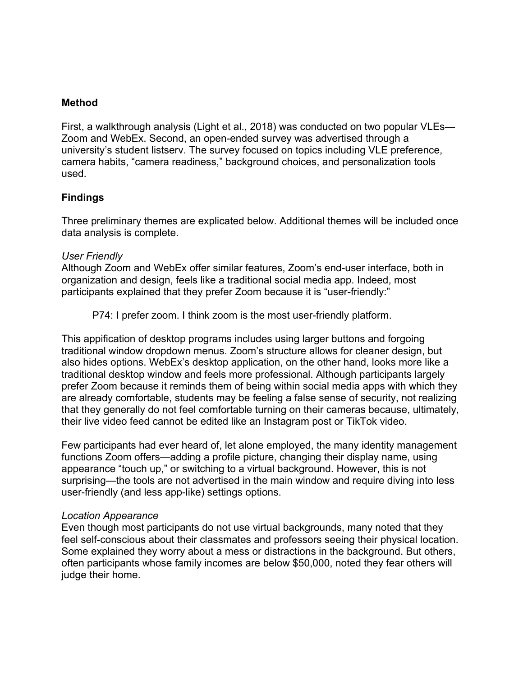#### **Method**

First, a walkthrough analysis (Light et al., 2018) was conducted on two popular VLEs— Zoom and WebEx. Second, an open-ended survey was advertised through a university's student listserv. The survey focused on topics including VLE preference, camera habits, "camera readiness," background choices, and personalization tools used.

## **Findings**

Three preliminary themes are explicated below. Additional themes will be included once data analysis is complete.

#### *User Friendly*

Although Zoom and WebEx offer similar features, Zoom's end-user interface, both in organization and design, feels like a traditional social media app. Indeed, most participants explained that they prefer Zoom because it is "user-friendly:"

P74: I prefer zoom. I think zoom is the most user-friendly platform.

This appification of desktop programs includes using larger buttons and forgoing traditional window dropdown menus. Zoom's structure allows for cleaner design, but also hides options. WebEx's desktop application, on the other hand, looks more like a traditional desktop window and feels more professional. Although participants largely prefer Zoom because it reminds them of being within social media apps with which they are already comfortable, students may be feeling a false sense of security, not realizing that they generally do not feel comfortable turning on their cameras because, ultimately, their live video feed cannot be edited like an Instagram post or TikTok video.

Few participants had ever heard of, let alone employed, the many identity management functions Zoom offers—adding a profile picture, changing their display name, using appearance "touch up," or switching to a virtual background. However, this is not surprising—the tools are not advertised in the main window and require diving into less user-friendly (and less app-like) settings options.

#### *Location Appearance*

Even though most participants do not use virtual backgrounds, many noted that they feel self-conscious about their classmates and professors seeing their physical location. Some explained they worry about a mess or distractions in the background. But others, often participants whose family incomes are below \$50,000, noted they fear others will judge their home.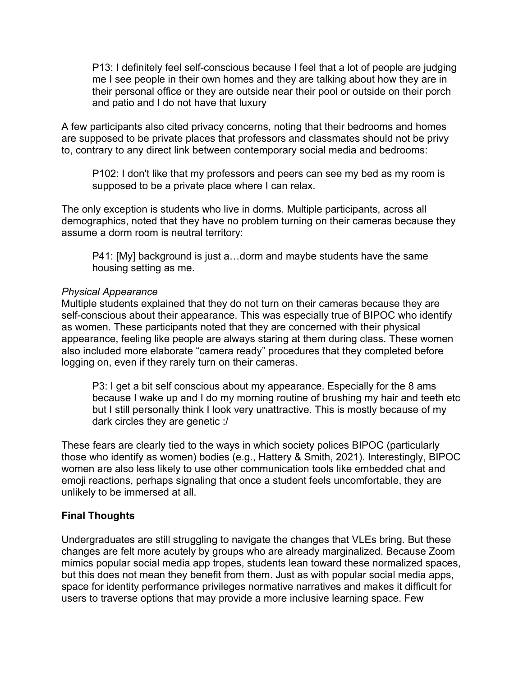P13: I definitely feel self-conscious because I feel that a lot of people are judging me I see people in their own homes and they are talking about how they are in their personal office or they are outside near their pool or outside on their porch and patio and I do not have that luxury

A few participants also cited privacy concerns, noting that their bedrooms and homes are supposed to be private places that professors and classmates should not be privy to, contrary to any direct link between contemporary social media and bedrooms:

P102: I don't like that my professors and peers can see my bed as my room is supposed to be a private place where I can relax.

The only exception is students who live in dorms. Multiple participants, across all demographics, noted that they have no problem turning on their cameras because they assume a dorm room is neutral territory:

P41: [My] background is just a…dorm and maybe students have the same housing setting as me.

#### *Physical Appearance*

Multiple students explained that they do not turn on their cameras because they are self-conscious about their appearance. This was especially true of BIPOC who identify as women. These participants noted that they are concerned with their physical appearance, feeling like people are always staring at them during class. These women also included more elaborate "camera ready" procedures that they completed before logging on, even if they rarely turn on their cameras.

P3: I get a bit self conscious about my appearance. Especially for the 8 ams because I wake up and I do my morning routine of brushing my hair and teeth etc but I still personally think I look very unattractive. This is mostly because of my dark circles they are genetic :/

These fears are clearly tied to the ways in which society polices BIPOC (particularly those who identify as women) bodies (e.g., Hattery & Smith, 2021). Interestingly, BIPOC women are also less likely to use other communication tools like embedded chat and emoji reactions, perhaps signaling that once a student feels uncomfortable, they are unlikely to be immersed at all.

## **Final Thoughts**

Undergraduates are still struggling to navigate the changes that VLEs bring. But these changes are felt more acutely by groups who are already marginalized. Because Zoom mimics popular social media app tropes, students lean toward these normalized spaces, but this does not mean they benefit from them. Just as with popular social media apps, space for identity performance privileges normative narratives and makes it difficult for users to traverse options that may provide a more inclusive learning space. Few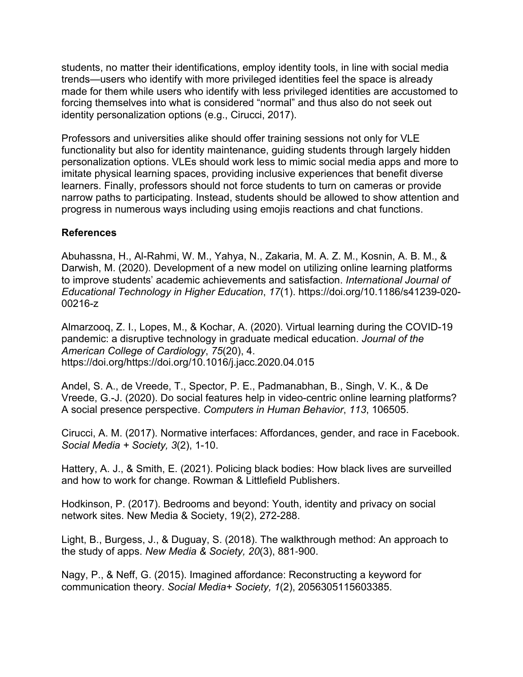students, no matter their identifications, employ identity tools, in line with social media trends—users who identify with more privileged identities feel the space is already made for them while users who identify with less privileged identities are accustomed to forcing themselves into what is considered "normal" and thus also do not seek out identity personalization options (e.g., Cirucci, 2017).

Professors and universities alike should offer training sessions not only for VLE functionality but also for identity maintenance, guiding students through largely hidden personalization options. VLEs should work less to mimic social media apps and more to imitate physical learning spaces, providing inclusive experiences that benefit diverse learners. Finally, professors should not force students to turn on cameras or provide narrow paths to participating. Instead, students should be allowed to show attention and progress in numerous ways including using emojis reactions and chat functions.

## **References**

Abuhassna, H., Al-Rahmi, W. M., Yahya, N., Zakaria, M. A. Z. M., Kosnin, A. B. M., & Darwish, M. (2020). Development of a new model on utilizing online learning platforms to improve students' academic achievements and satisfaction. *International Journal of Educational Technology in Higher Education*, *17*(1). https://doi.org/10.1186/s41239-020- 00216-z

Almarzooq, Z. I., Lopes, M., & Kochar, A. (2020). Virtual learning during the COVID-19 pandemic: a disruptive technology in graduate medical education. *Journal of the American College of Cardiology*, *75*(20), 4. https://doi.org/https://doi.org/10.1016/j.jacc.2020.04.015

Andel, S. A., de Vreede, T., Spector, P. E., Padmanabhan, B., Singh, V. K., & De Vreede, G.-J. (2020). Do social features help in video-centric online learning platforms? A social presence perspective. *Computers in Human Behavior*, *113*, 106505.

Cirucci, A. M. (2017). Normative interfaces: Affordances, gender, and race in Facebook. *Social Media + Society, 3*(2), 1-10.

Hattery, A. J., & Smith, E. (2021). Policing black bodies: How black lives are surveilled and how to work for change. Rowman & Littlefield Publishers.

Hodkinson, P. (2017). Bedrooms and beyond: Youth, identity and privacy on social network sites. New Media & Society, 19(2), 272-288.

Light, B., Burgess, J., & Duguay, S. (2018). The walkthrough method: An approach to the study of apps. *New Media & Society, 20*(3), 881-900.

Nagy, P., & Neff, G. (2015). Imagined affordance: Reconstructing a keyword for communication theory. *Social Media+ Society, 1*(2), 2056305115603385.